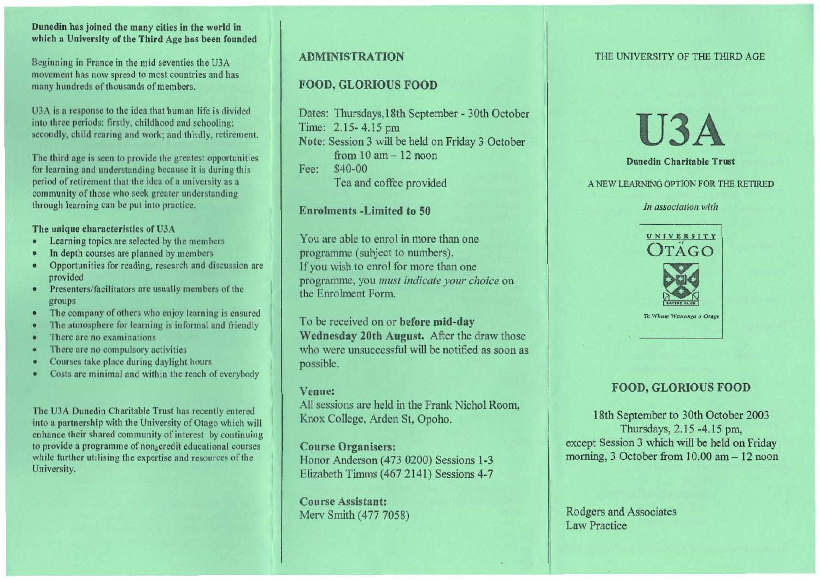### **Dunedin has joined the many cities in the world in which a University of the Third Age has been founded**

Beginning in France in the mid seventies the U3A movement has now spread to most countries and has many hundreds of thousands of members.

U3A is a response to the idea that human life is divided into three periods: firstly, childhood and schooling; secondly, child rearing and work; and thirdly, retirement.

The third age is seen to provide the greatest opportunities for learning and understanding because it is during this period of retirement that the idea of a university as a community of those who seek greater understanding through learning can be put into practice.

#### **The unique characteristics of U3A**

- Learning topics are selected by the members
- In depth courses are planned by members
- Opportunities for reading, research and discussion are provided
- Presenters/facilitators are usually members of the groups
- The company of others who enjoy learning is ensured
- The atmosphere for learning is informal and friendly
- There are no examinations
- There are no compulsory activities
- Courses take place during daylight hours
- Costs are minimal and within the reach of everybody

The U3A Dunedin Charitable Trust has recently entered into a partnership with the University of Otago which will enhance their shared community of interest by continuing to provide a programme of non-credit educational courses while further utilising the expertise and resources of the University.

# **ADMINISTRATION**

# **FOOD, GLORIOUS FOOD**

Dates: Thursdays,l8th September - 30th October Time: 2.15- 4.15 pm **Note:** Session 3 will be held on Friday 3 October from 10 am — 12 noon Fee: \$40-00 Tea and coffee provided

# **Enrolments -Limited to 50**

You are able to enrol in more than one programme (subject to numbers). If you wish to enrol for more than one programme, you *must indicate your choice* on the Enrolment Form.

To be received on or **before mid-day Wednesday 20th August.** After the draw those who were unsuccessful will be notified as soon as possible.

### **Venue:**

All sessions are held in the Frank Nichol Room, Knox College, Arden St, Opoho.

**Course Organisers:** 

Honor Anderson (473 0200) Sessions 1-3 Elizabeth Timms (467 2141) Sessions 4-7

**Course Assistant:**  Mery Smith (477 7058)

### THE UNIVERSITY OF THE THIRD AGE

**U3A** 

#### **Dunedin Charitable Trust**

A NEW LEARNING OPTION FOR THE RETIRED

#### *In association with*



# **FOOD, GLORIOUS FOOD**

18th September to 30th October 2003 Thursdays, 2.15 -4.15 pm, except Session 3 which will be held on Friday morning, 3 October from 10.00 am — 12 noon

Rodgers and Associates Law Practice